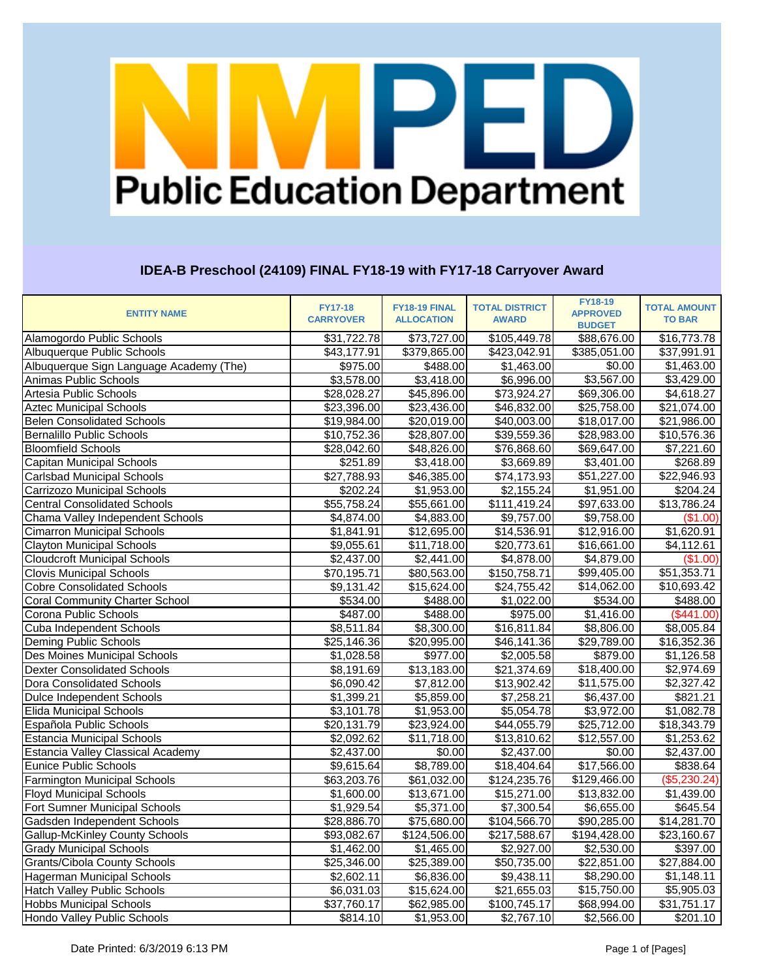# VIPED **Public Education Department**

### **IDEA-B Preschool (24109) FINAL FY18-19 with FY17-18 Carryover Award**

| <b>ENTITY NAME</b>                      | <b>FY17-18</b><br><b>CARRYOVER</b> | FY18-19 FINAL<br><b>ALLOCATION</b> | <b>TOTAL DISTRICT</b><br><b>AWARD</b> | <b>FY18-19</b><br><b>APPROVED</b><br><b>BUDGET</b> | <b>TOTAL AMOUNT</b><br><b>TO BAR</b> |
|-----------------------------------------|------------------------------------|------------------------------------|---------------------------------------|----------------------------------------------------|--------------------------------------|
| Alamogordo Public Schools               | \$31,722.78                        | \$73,727.00                        | \$105,449.78                          | \$88,676.00                                        | \$16,773.78                          |
| Albuquerque Public Schools              | \$43,177.91                        | \$379,865.00                       | \$423,042.91                          | \$385,051.00                                       | \$37,991.91                          |
| Albuquerque Sign Language Academy (The) | \$975.00                           | \$488.00                           | \$1,463.00                            | \$0.00                                             | \$1,463.00                           |
| Animas Public Schools                   | \$3,578.00                         | \$3,418.00                         | \$6,996.00                            | \$3,567.00                                         | \$3,429.00                           |
| Artesia Public Schools                  | \$28,028.27                        | \$45,896.00                        | \$73,924.27                           | \$69,306.00                                        | \$4,618.27                           |
| <b>Aztec Municipal Schools</b>          | \$23,396.00                        | \$23,436.00                        | $\overline{$46,832.00}$               | \$25,758.00                                        | \$21,074.00                          |
| <b>Belen Consolidated Schools</b>       | \$19,984.00                        | \$20,019.00                        | \$40,003.00                           | \$18,017.00                                        | \$21,986.00                          |
| <b>Bernalillo Public Schools</b>        | \$10,752.36                        | \$28,807.00                        | 39,559.36                             | \$28,983.00                                        | \$10,576.36                          |
| <b>Bloomfield Schools</b>               | \$28,042.60                        | \$48,826.00                        | \$76,868.60                           | \$69,647.00                                        | \$7,221.60                           |
| <b>Capitan Municipal Schools</b>        | \$251.89                           | \$3,418.00                         | \$3,669.89                            | \$3,401.00                                         | \$268.89                             |
| <b>Carlsbad Municipal Schools</b>       | \$27,788.93                        | $\overline{$46,385.00}$            | \$74,173.93                           | \$51,227.00                                        | \$22,946.93                          |
| Carrizozo Municipal Schools             | \$202.24                           | \$1,953.00                         | \$2,155.24                            | \$1,951.00                                         | \$204.24                             |
| <b>Central Consolidated Schools</b>     | \$55,758.24                        | \$55,661.00                        | \$111,419.24                          | \$97,633.00                                        | \$13,786.24                          |
| Chama Valley Independent Schools        | \$4,874.00                         | $\overline{$}4,883.00$             | \$9,757.00                            | \$9,758.00                                         | (\$1.00)                             |
| <b>Cimarron Municipal Schools</b>       | \$1,841.91                         | \$12,695.00                        | \$14,536.91                           | \$12,916.00                                        | $\overline{$}1,620.91$               |
| <b>Clayton Municipal Schools</b>        | \$9,055.61                         | \$11,718.00                        | \$20,773.61                           | \$16,661.00                                        | \$4,112.61                           |
| <b>Cloudcroft Municipal Schools</b>     | \$2,437.00                         | \$2,441.00                         | \$4,878.00                            | \$4,879.00                                         | (\$1.00)                             |
| <b>Clovis Municipal Schools</b>         | \$70,195.71                        | \$80,563.00                        | \$150,758.71                          | \$99,405.00                                        | \$51,353.71                          |
| <b>Cobre Consolidated Schools</b>       | \$9,131.42                         | \$15,624.00                        | \$24,755.42                           | \$14,062.00                                        | \$10,693.42                          |
| <b>Coral Community Charter School</b>   | \$534.00                           | \$488.00                           | \$1,022.00                            | \$534.00                                           | \$488.00                             |
| Corona Public Schools                   | \$487.00                           | \$488.00                           | \$975.00                              | \$1,416.00                                         | (\$441.00)                           |
| Cuba Independent Schools                | \$8,511.84                         | \$8,300.00                         | \$16,811.84                           | \$8,806.00                                         | \$8,005.84                           |
| Deming Public Schools                   | \$25,146.36                        | \$20,995.00                        | \$46,141.36                           | \$29,789.00                                        | \$16,352.36                          |
| Des Moines Municipal Schools            | \$1,028.58                         | \$977.00                           | \$2,005.58                            | \$879.00                                           | \$1,126.58                           |
| <b>Dexter Consolidated Schools</b>      | \$8,191.69                         | \$13,183.00                        | \$21,374.69                           | \$18,400.00                                        | \$2,974.69                           |
| Dora Consolidated Schools               | \$6,090.42                         | \$7,812.00                         | \$13,902.42                           | \$11,575.00                                        | \$2,327.42                           |
| <b>Dulce Independent Schools</b>        | \$1,399.21                         | \$5,859.00                         | \$7,258.21                            | \$6,437.00                                         | \$821.21                             |
| <b>Elida Municipal Schools</b>          | \$3,101.78                         | \$1,953.00                         | \$5,054.78                            | $\overline{$}3,972.00$                             | \$1,082.78                           |
| Española Public Schools                 | \$20,131.79                        | \$23,924.00                        | \$44,055.79                           | \$25,712.00                                        | \$18,343.79                          |
| <b>Estancia Municipal Schools</b>       | \$2,092.62                         | \$11,718.00                        | \$13,810.62                           | \$12,557.00                                        | \$1,253.62                           |
| Estancia Valley Classical Academy       | \$2,437.00                         | \$0.00                             | \$2,437.00                            | \$0.00                                             | \$2,437.00                           |
| Eunice Public Schools                   | \$9,615.64                         | \$8,789.00                         | \$18,404.64                           | \$17,566.00                                        | \$838.64                             |
| <b>Farmington Municipal Schools</b>     | \$63,203.76                        | \$61,032.00                        | \$124,235.76                          | \$129,466.00                                       | (\$5,230.24)                         |
| <b>Floyd Municipal Schools</b>          | \$1,600.00                         | \$13,671.00                        | \$15,271.00                           | \$13,832.00                                        | \$1,439.00                           |
| Fort Sumner Municipal Schools           | \$1,929.54                         | \$5,371.00                         | \$7,300.54                            | \$6,655.00                                         | \$645.54                             |
| Gadsden Independent Schools             | \$28,886.70                        | \$75,680.00                        | \$104,566.70                          | \$90,285.00                                        | \$14,281.70                          |
| <b>Gallup-McKinley County Schools</b>   | \$93,082.67                        | \$124,506.00                       | \$217,588.67                          | \$194,428.00                                       | \$23,160.67                          |
| <b>Grady Municipal Schools</b>          | \$1,462.00                         | \$1,465.00                         | \$2,927.00                            | $\overline{$}2,530.00$                             | \$397.00                             |
| <b>Grants/Cibola County Schools</b>     | \$25,346.00                        | \$25,389.00                        | \$50,735.00                           | \$22,851.00                                        | \$27,884.00                          |
| <b>Hagerman Municipal Schools</b>       | \$2,602.11                         | \$6,836.00                         | \$9,438.11                            | \$8,290.00                                         | \$1,148.11                           |
| <b>Hatch Valley Public Schools</b>      | \$6,031.03                         | \$15,624.00                        | \$21,655.03                           | \$15,750.00                                        | \$5,905.03                           |
| <b>Hobbs Municipal Schools</b>          | \$37,760.17                        | \$62,985.00                        | \$100,745.17                          | \$68,994.00                                        | \$31,751.17                          |
| Hondo Valley Public Schools             | \$814.10                           | \$1,953.00                         | \$2,767.10                            | \$2,566.00                                         | \$201.10                             |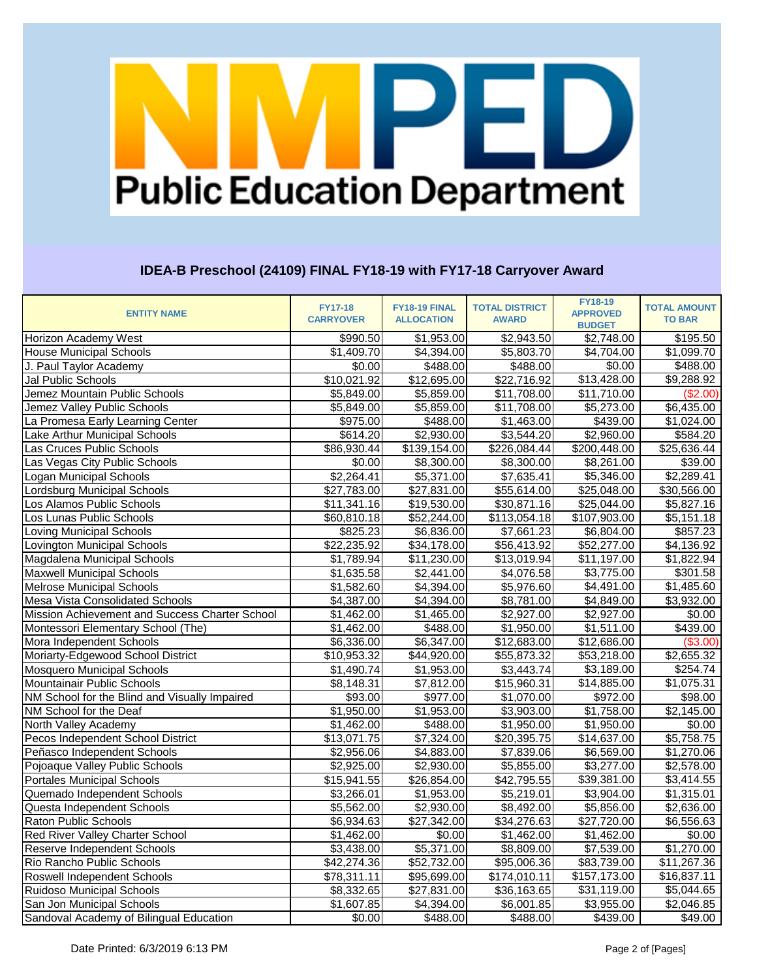# VIPED **Public Education Department**

### **IDEA-B Preschool (24109) FINAL FY18-19 with FY17-18 Carryover Award**

| <b>ENTITY NAME</b>                             | <b>FY17-18</b><br><b>CARRYOVER</b> | FY18-19 FINAL<br><b>ALLOCATION</b> | <b>TOTAL DISTRICT</b><br><b>AWARD</b> | <b>FY18-19</b><br><b>APPROVED</b> | <b>TOTAL AMOUNT</b><br><b>TO BAR</b> |
|------------------------------------------------|------------------------------------|------------------------------------|---------------------------------------|-----------------------------------|--------------------------------------|
|                                                |                                    |                                    |                                       | <b>BUDGET</b>                     |                                      |
| Horizon Academy West                           | \$990.50                           | \$1,953.00                         | \$2,943.50                            | \$2,748.00                        | \$195.50                             |
| <b>House Municipal Schools</b>                 | \$1,409.70                         | \$4,394.00                         | \$5,803.70                            | \$4,704.00                        | \$1,099.70                           |
| J. Paul Taylor Academy                         | \$0.00                             | \$488.00                           | \$488.00                              | \$0.00                            | \$488.00                             |
| <b>Jal Public Schools</b>                      | \$10,021.92                        | \$12,695.00                        | \$22,716.92                           | \$13,428.00                       | \$9,288.92                           |
| Jemez Mountain Public Schools                  | \$5,849.00                         | \$5,859.00                         | \$11,708.00                           | \$11,710.00                       | (\$2.00)                             |
| Jemez Valley Public Schools                    | \$5,849.00                         | \$5,859.00                         | \$11,708.00                           | $\overline{$}5,273.00$            | \$6,435.00                           |
| La Promesa Early Learning Center               | \$975.00                           | \$488.00                           | \$1,463.00                            | \$439.00                          | \$1,024.00                           |
| Lake Arthur Municipal Schools                  | \$614.20                           | \$2,930.00                         | \$3,544.20                            | \$2,960.00                        | \$584.20                             |
| Las Cruces Public Schools                      | \$86,930.44                        | \$139,154.00                       | \$226,084.44                          | \$200,448.00                      | \$25,636.44                          |
| Las Vegas City Public Schools                  | \$0.00                             | \$8,300.00                         | $\overline{$8,300.00}$                | \$8,261.00                        | \$39.00                              |
| Logan Municipal Schools                        | \$2,264.41                         | \$5,371.00                         | \$7,635.41                            | \$5,346.00                        | \$2,289.41                           |
| Lordsburg Municipal Schools                    | \$27,783.00                        | \$27,831.00                        | \$55,614.00                           | \$25,048.00                       | \$30,566.00                          |
| Los Alamos Public Schools                      | \$11,341.16                        | \$19,530.00                        | \$30,871.16                           | \$25,044.00                       | \$5,827.16                           |
| Los Lunas Public Schools                       | \$60,810.18                        | $\overline{$}52,244.00$            | $\overline{$}113,054.18$              | \$107,903.00                      | \$5,151.18                           |
| <b>Loving Municipal Schools</b>                | \$825.23                           | \$6,836.00                         | \$7,661.23                            | \$6,804.00                        | \$857.23                             |
| Lovington Municipal Schools                    | \$22,235.92                        | \$34,178.00                        | \$56,413.92                           | \$52,277.00                       | \$4,136.92                           |
| Magdalena Municipal Schools                    | \$1,789.94                         | \$11,230.00                        | \$13,019.94                           | \$11,197.00                       | \$1,822.94                           |
| <b>Maxwell Municipal Schools</b>               | \$1,635.58                         | \$2,441.00                         | \$4,076.58                            | \$3,775.00                        | \$301.58                             |
| <b>Melrose Municipal Schools</b>               | \$1,582.60                         | \$4,394.00                         | \$5,976.60                            | \$4,491.00                        | \$1,485.60                           |
| Mesa Vista Consolidated Schools                | \$4,387.00                         | \$4,394.00                         | \$8,781.00                            | \$4,849.00                        | \$3,932.00                           |
| Mission Achievement and Success Charter School | \$1,462.00                         | \$1,465.00                         | \$2,927.00                            | \$2,927.00                        | \$0.00                               |
| Montessori Elementary School (The)             | \$1,462.00                         | \$488.00                           | \$1,950.00                            | \$1,511.00                        | \$439.00                             |
| Mora Independent Schools                       | \$6,336.00                         | \$6,347.00                         | \$12,683.00                           | \$12,686.00                       | (\$3.00)                             |
| Moriarty-Edgewood School District              | \$10,953.32                        | \$44,920.00                        | \$55,873.32                           | \$53,218.00                       | \$2,655.32                           |
| <b>Mosquero Municipal Schools</b>              | \$1,490.74                         | \$1,953.00                         | \$3,443.74                            | \$3,189.00                        | \$254.74                             |
| Mountainair Public Schools                     | \$8,148.31                         | \$7,812.00                         | \$15,960.31                           | \$14,885.00                       | \$1,075.31                           |
| NM School for the Blind and Visually Impaired  | \$93.00                            | \$977.00                           | \$1,070.00                            | \$972.00                          | \$98.00                              |
| NM School for the Deaf                         | \$1,950.00                         | \$1,953.00                         | \$3,903.00                            | \$1,758.00                        | \$2,145.00                           |
| North Valley Academy                           | \$1,462.00                         | \$488.00                           | \$1,950.00                            | \$1,950.00                        | \$0.00                               |
| Pecos Independent School District              | \$13,071.75                        | \$7,324.00                         | \$20,395.75                           | $\overline{$}14,637.00$           | \$5,758.75                           |
| Peñasco Independent Schools                    | \$2,956.06                         | \$4,883.00                         | \$7,839.06                            | \$6,569.00                        | \$1,270.06                           |
| Pojoaque Valley Public Schools                 | \$2,925.00                         | \$2,930.00                         | \$5,855.00                            | \$3,277.00                        | \$2,578.00                           |
| <b>Portales Municipal Schools</b>              | \$15,941.55                        | \$26,854.00                        | \$42,795.55                           | \$39,381.00                       | \$3,414.55                           |
| Quemado Independent Schools                    | \$3,266.01                         | \$1,953.00                         | \$5,219.01                            | \$3,904.00                        | \$1,315.01                           |
| Questa Independent Schools                     | \$5,562.00                         | \$2,930.00                         | \$8,492.00                            | \$5,856.00                        | \$2,636.00                           |
| <b>Raton Public Schools</b>                    | \$6,934.63                         | \$27,342.00                        | \$34,276.63                           | \$27,720.00                       | \$6,556.63                           |
| <b>Red River Valley Charter School</b>         | \$1,462.00                         | \$0.00                             | \$1,462.00                            | \$1,462.00                        | \$0.00                               |
| Reserve Independent Schools                    | \$3,438.00                         | \$5,371.00                         | \$8,809.00                            | \$7,539.00                        | \$1,270.00                           |
| Rio Rancho Public Schools                      | \$42,274.36                        | \$52,732.00                        | \$95,006.36                           | \$83,739.00                       | \$11,267.36                          |
| <b>Roswell Independent Schools</b>             | \$78,311.11                        | \$95,699.00                        | \$174,010.11                          | \$157,173.00                      | \$16,837.11                          |
| <b>Ruidoso Municipal Schools</b>               | \$8,332.65                         | \$27,831.00                        | \$36,163.65                           | \$31,119.00                       | \$5,044.65                           |
| San Jon Municipal Schools                      | \$1,607.85                         | \$4,394.00                         | \$6,001.85                            | \$3,955.00                        | \$2,046.85                           |
| Sandoval Academy of Bilingual Education        | \$0.00                             | \$488.00                           | \$488.00                              | \$439.00                          | \$49.00                              |